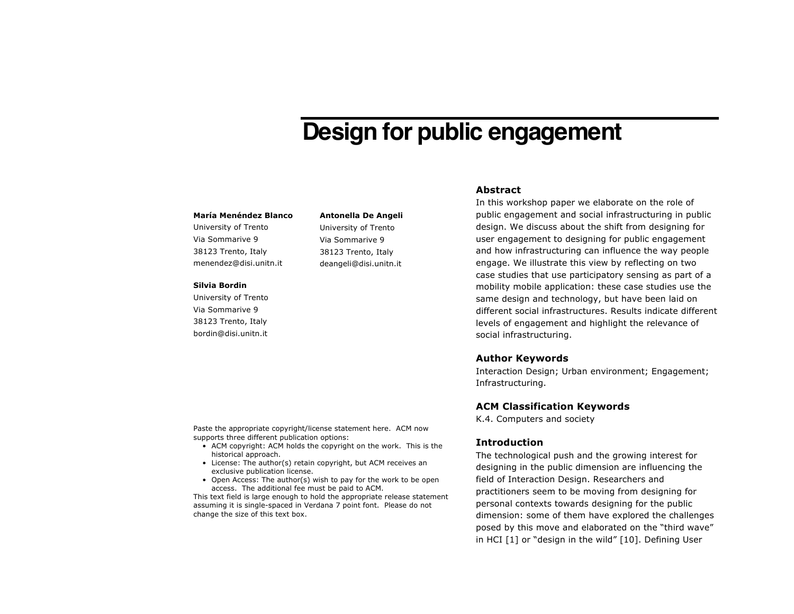# **Design for public engagement**

#### **María Menéndez Blanco**

University of Trento Via Sommarive 9 38123 Trento, Italy menendez@disi.unitn.it

#### **Silvia Bordin**

University of Trento Via Sommarive 9 38123 Trento, Italy bordin@disi.unitn.it

# **Antonella De Angeli**

University of Trento Via Sommarive 9 38123 Trento, Italy deangeli@disi.unitn.it

## **Abstract**

In this workshop paper we elaborate on the role of public engagement and social infrastructuring in public design. We discuss about the shift from designing for user engagement to designing for public engagement and how infrastructuring can influence the way people engage. We illustrate this view by reflecting on two case studies that use participatory sensing as part of a mobility mobile application: these case studies use the same design and technology, but have been laid on different social infrastructures. Results indicate different levels of engagement and highlight the relevance of social infrastructuring.

## **Author Keywords**

Interaction Design; Urban environment; Engagement; Infrastructuring.

# **ACM Classification Keywords**

K.4. Computers and society

# **Introduction**

The technological push and the growing interest for designing in the public dimension are influencing the field of Interaction Design. Researchers and practitioners seem to be moving from designing for personal contexts towards designing for the public dimension: some of them have explored the challenges posed by this move and elaborated on the "third wave" in HCI [1] or "design in the wild" [10]. Defining User

Paste the appropriate copyright/license statement here. ACM now supports three different publication options:

- ACM copyright: ACM holds the copyright on the work. This is the historical approach.
- License: The author(s) retain copyright, but ACM receives an exclusive publication license.
- Open Access: The author(s) wish to pay for the work to be open access. The additional fee must be paid to ACM.

This text field is large enough to hold the appropriate release statement assuming it is single-spaced in Verdana 7 point font. Please do not change the size of this text box.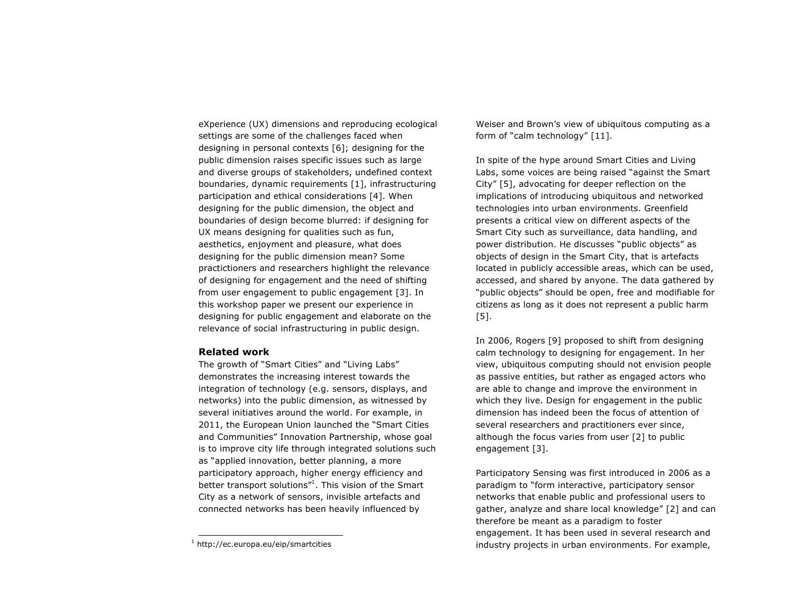eXperience (UX) dimensions and reproducing ecological settings are some of the challenges faced when designing in personal contexts [6]; designing for the public dimension raises specific issues such as large and diverse groups of stakeholders, undefined context boundaries, dynamic requirements [1], infrastructuring participation and ethical considerations [4]. When designing for the public dimension, the object and boundaries of design become blurred: if designing for UX means designing for qualities such as fun, aesthetics, enjoyment and pleasure, what does designing for the public dimension mean? Some practictioners and researchers highlight the relevance of designing for engagement and the need of shifting from user engagement to public engagement [3]. In this workshop paper we present our experience in designing for public engagement and elaborate on the relevance of social infrastructuring in public design.

# **Related work**

The growth of "Smart Cities" and "Living Labs" demonstrates the increasing interest towards the integration of technology (e.g. sensors, displays, and networks) into the public dimension, as witnessed by several initiatives around the world. For example, in 2011, the European Union launched the "Smart Cities and Communities" Innovation Partnership, whose goal is to improve city life through integrated solutions such as "applied innovation, better planning, a more participatory approach, higher energy efficiency and better transport solutions"<sup>1</sup>. This vision of the Smart City as a network of sensors, invisible artefacts and connected networks has been heavily influenced by

Weiser and Brown's view of ubiquitous computing as a form of "calm technology" [11].

In spite of the hype around Smart Cities and Living Labs, some voices are being raised "against the Smart City" [5], advocating for deeper reflection on the implications of introducing ubiquitous and networked technologies into urban environments. Greenfield presents a critical view on different aspects of the Smart City such as surveillance, data handling, and power distribution. He discusses "public objects" as objects of design in the Smart City, that is artefacts located in publicly accessible areas, which can be used, accessed, and shared by anyone. The data gathered by "public objects" should be open, free and modifiable for citizens as long as it does not represent a public harm [5].

In 2006, Rogers [9] proposed to shift from designing calm technology to designing for engagement. In her view, ubiquitous computing should not envision people as passive entities, but rather as engaged actors who are able to change and improve the environment in which they live. Design for engagement in the public dimension has indeed been the focus of attention of several researchers and practitioners ever since, although the focus varies from user [2] to public engagement [3].

Participatory Sensing was first introduced in 2006 as a paradigm to "form interactive, participatory sensor networks that enable public and professional users to gather, analyze and share local knowledge" [2] and can therefore be meant as a paradigm to foster engagement. It has been used in several research and industry projects in urban environments. For example,

 <sup>1</sup> http://ec.europa.eu/eip/smartcities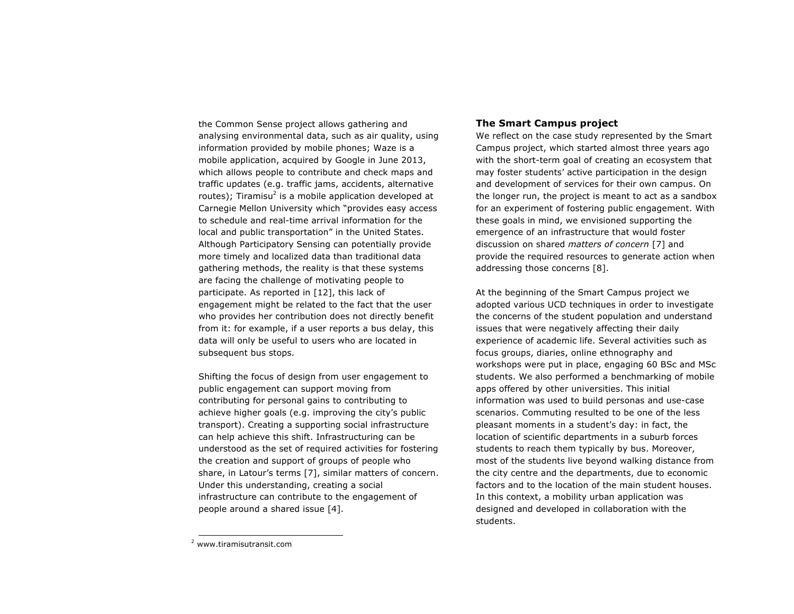the Common Sense project allows gathering and analysing environmental data, such as air quality, using information provided by mobile phones; Waze is a mobile application, acquired by Google in June 2013, which allows people to contribute and check maps and traffic updates (e.g. traffic jams, accidents, alternative routes); Tiramisu<sup>2</sup> is a mobile application developed at Carnegie Mellon University which "provides easy access to schedule and real-time arrival information for the local and public transportation" in the United States. Although Participatory Sensing can potentially provide more timely and localized data than traditional data gathering methods, the reality is that these systems are facing the challenge of motivating people to participate. As reported in [12], this lack of engagement might be related to the fact that the user who provides her contribution does not directly benefit from it: for example, if a user reports a bus delay, this data will only be useful to users who are located in subsequent bus stops.

Shifting the focus of design from user engagement to public engagement can support moving from contributing for personal gains to contributing to achieve higher goals (e.g. improving the city's public transport). Creating a supporting social infrastructure can help achieve this shift. Infrastructuring can be understood as the set of required activities for fostering the creation and support of groups of people who share, in Latour's terms [7], similar matters of concern. Under this understanding, creating a social infrastructure can contribute to the engagement of people around a shared issue [4].

# **The Smart Campus project**

We reflect on the case study represented by the Smart Campus project, which started almost three years ago with the short-term goal of creating an ecosystem that may foster students' active participation in the design and development of services for their own campus. On the longer run, the project is meant to act as a sandbox for an experiment of fostering public engagement. With these goals in mind, we envisioned supporting the emergence of an infrastructure that would foster discussion on shared *matters of concern* [7] and provide the required resources to generate action when addressing those concerns [8].

At the beginning of the Smart Campus project we adopted various UCD techniques in order to investigate the concerns of the student population and understand issues that were negatively affecting their daily experience of academic life. Several activities such as focus groups, diaries, online ethnography and workshops were put in place, engaging 60 BSc and MSc students. We also performed a benchmarking of mobile apps offered by other universities. This initial information was used to build personas and use-case scenarios. Commuting resulted to be one of the less pleasant moments in a student's day: in fact, the location of scientific departments in a suburb forces students to reach them typically by bus. Moreover, most of the students live beyond walking distance from the city centre and the departments, due to economic factors and to the location of the main student houses. In this context, a mobility urban application was designed and developed in collaboration with the students.

 <sup>2</sup> www.tiramisutransit.com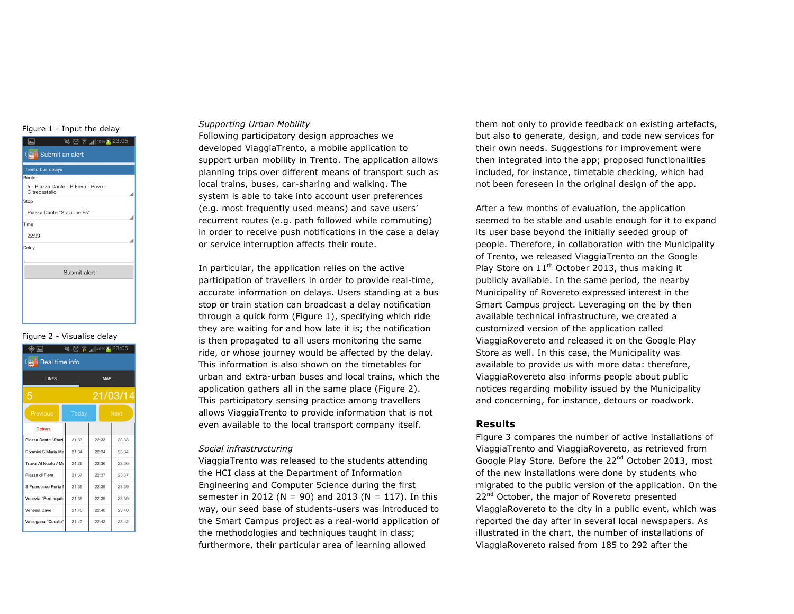#### Figure 1 - Input the delay

| ※ ◎ ▼ 1 40% 5 23:05<br>[مم]                          |  |  |  |  |
|------------------------------------------------------|--|--|--|--|
| K <sub>nin</sub> i Submit an alert                   |  |  |  |  |
| <b>Trento bus delays</b>                             |  |  |  |  |
| Route                                                |  |  |  |  |
| 5 - Piazza Dante - P.Fiera - Povo -<br>Oltrecastello |  |  |  |  |
| Stop                                                 |  |  |  |  |
| Piazza Dante "Stazione Fs"                           |  |  |  |  |
| Time                                                 |  |  |  |  |
| 22:33                                                |  |  |  |  |
| Delay                                                |  |  |  |  |
|                                                      |  |  |  |  |
| Submit alert                                         |  |  |  |  |
|                                                      |  |  |  |  |
|                                                      |  |  |  |  |
|                                                      |  |  |  |  |
|                                                      |  |  |  |  |
|                                                      |  |  |  |  |

#### Figure 2 - Visualise delay

| $\leqslant \textcircled{3}$ $\frac{23:05}{1}$<br>ادا |              |             |       |  |  |
|------------------------------------------------------|--------------|-------------|-------|--|--|
| Real time info<br><b>The L</b>                       |              |             |       |  |  |
| <b>LINES</b>                                         | <b>MAP</b>   |             |       |  |  |
| 5                                                    | 21/03/14     |             |       |  |  |
| Previous                                             | <b>Today</b> | <b>Next</b> |       |  |  |
| <b>Delays</b>                                        |              |             |       |  |  |
| Piazza Dante "Stazi                                  | 21:33        | 22:33       | 23:33 |  |  |
| Rosmini S.Maria Ma                                   | 21:34        | 22:34       | 23:34 |  |  |
| Travai Al Nuoto / Mi                                 | 21:36        | 22:36       | 23:36 |  |  |
| Piazza di Fiera                                      | 21:37        | 22:37       | 23:37 |  |  |
| S.Francesco Porta I                                  | 21:39        | 22:39       | 23:39 |  |  |
| Venezia "Port'aquila                                 | 21:39        | 22:39       | 23:39 |  |  |
| Venezia Cave                                         | 21:40        | 22:40       | 23:40 |  |  |
| Valsugana "Corallo"                                  | 21:42        | 22:42       | 23:42 |  |  |
|                                                      |              |             |       |  |  |

#### *Supporting Urban Mobility*

Following participatory design approaches we developed ViaggiaTrento, a mobile application to support urban mobility in Trento. The application allows planning trips over different means of transport such as local trains, buses, car-sharing and walking. The system is able to take into account user preferences (e.g. most frequently used means) and save users' recurrent routes (e.g. path followed while commuting) in order to receive push notifications in the case a delay or service interruption affects their route.

In particular, the application relies on the active participation of travellers in order to provide real-time, accurate information on delays. Users standing at a bus stop or train station can broadcast a delay notification through a quick form (Figure 1), specifying which ride they are waiting for and how late it is; the notification is then propagated to all users monitoring the same ride, or whose journey would be affected by the delay. This information is also shown on the timetables for urban and extra-urban buses and local trains, which the application gathers all in the same place (Figure 2). This participatory sensing practice among travellers allows ViaggiaTrento to provide information that is not even available to the local transport company itself.

#### *Social infrastructuring*

ViaggiaTrento was released to the students attending the HCI class at the Department of Information Engineering and Computer Science during the first semester in 2012 ( $N = 90$ ) and 2013 ( $N = 117$ ). In this way, our seed base of students-users was introduced to the Smart Campus project as a real-world application of the methodologies and techniques taught in class; furthermore, their particular area of learning allowed

them not only to provide feedback on existing artefacts, but also to generate, design, and code new services for their own needs. Suggestions for improvement were then integrated into the app; proposed functionalities included, for instance, timetable checking, which had not been foreseen in the original design of the app.

After a few months of evaluation, the application seemed to be stable and usable enough for it to expand its user base beyond the initially seeded group of people. Therefore, in collaboration with the Municipality of Trento, we released ViaggiaTrento on the Google Play Store on  $11<sup>th</sup>$  October 2013, thus making it publicly available. In the same period, the nearby Municipality of Rovereto expressed interest in the Smart Campus project. Leveraging on the by then available technical infrastructure, we created a customized version of the application called ViaggiaRovereto and released it on the Google Play Store as well. In this case, the Municipality was available to provide us with more data: therefore, ViaggiaRovereto also informs people about public notices regarding mobility issued by the Municipality and concerning, for instance, detours or roadwork.

# **Results**

Figure 3 compares the number of active installations of ViaggiaTrento and ViaggiaRovereto, as retrieved from Google Play Store. Before the 22<sup>nd</sup> October 2013, most of the new installations were done by students who migrated to the public version of the application. On the 22<sup>nd</sup> October, the major of Rovereto presented ViaggiaRovereto to the city in a public event, which was reported the day after in several local newspapers. As illustrated in the chart, the number of installations of ViaggiaRovereto raised from 185 to 292 after the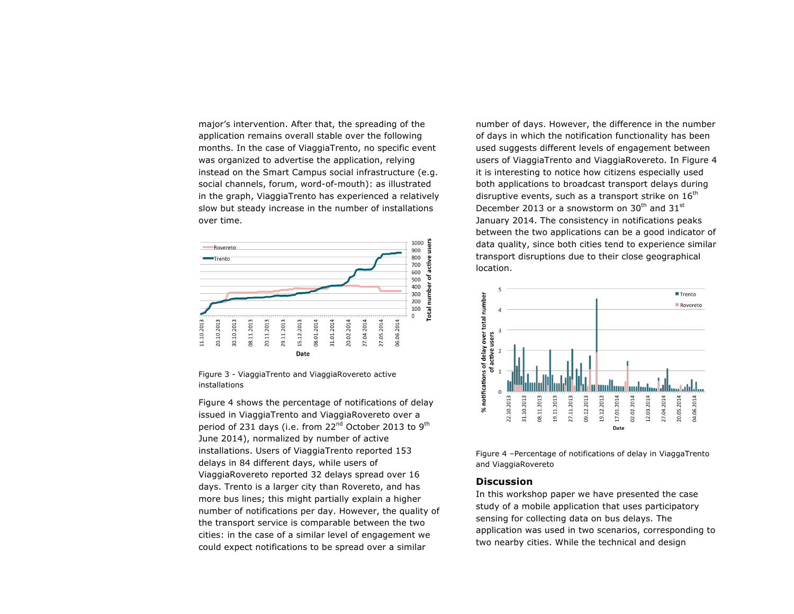major's intervention. After that, the spreading of the application remains overall stable over the following months. In the case of ViaggiaTrento, no specific event was organized to advertise the application, relying instead on the Smart Campus social infrastructure (e.g. social channels, forum, word-of-mouth): as illustrated in the graph, ViaggiaTrento has experienced a relatively slow but steady increase in the number of installations over time.





Figure 4 shows the percentage of notifications of delay issued in ViaggiaTrento and ViaggiaRovereto over a period of 231 days (i.e. from  $22^{nd}$  October 2013 to 9<sup>th</sup> June 2014), normalized by number of active installations. Users of ViaggiaTrento reported 153 delays in 84 different days, while users of ViaggiaRovereto reported 32 delays spread over 16 days. Trento is a larger city than Rovereto, and has more bus lines; this might partially explain a higher number of notifications per day. However, the quality of the transport service is comparable between the two cities: in the case of a similar level of engagement we could expect notifications to be spread over a similar

number of days. However, the difference in the number of days in which the notification functionality has been used suggests different levels of engagement between users of ViaggiaTrento and ViaggiaRovereto. In Figure 4 it is interesting to notice how citizens especially used both applications to broadcast transport delays during disruptive events, such as a transport strike on  $16<sup>th</sup>$ December 2013 or a snowstorm on 30<sup>th</sup> and 31<sup>st</sup> January 2014. The consistency in notifications peaks between the two applications can be a good indicator of data quality, since both cities tend to experience similar transport disruptions due to their close geographical location.



Figure 4 –Percentage of notifications of delay in ViaggaTrento and ViaggiaRovereto

# **Discussion**

In this workshop paper we have presented the case study of a mobile application that uses participatory sensing for collecting data on bus delays. The application was used in two scenarios, corresponding to two nearby cities. While the technical and design